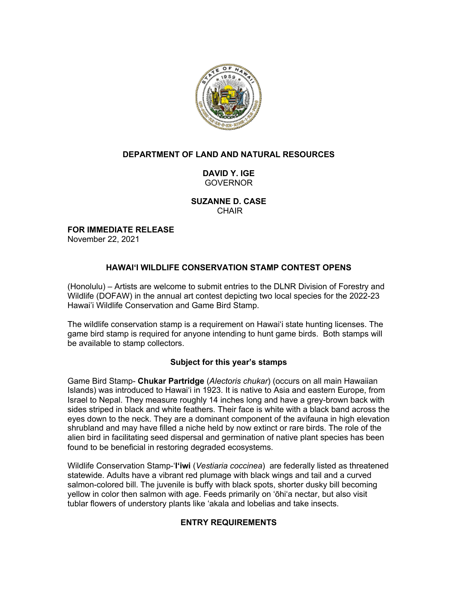

### **DEPARTMENT OF LAND AND NATURAL RESOURCES**

**DAVID Y. IGE** GOVERNOR

**SUZANNE D. CASE** CHAIR

**FOR IMMEDIATE RELEASE** November 22, 2021

# **HAWAI'I WILDLIFE CONSERVATION STAMP CONTEST OPENS**

(Honolulu) – Artists are welcome to submit entries to the DLNR Division of Forestry and Wildlife (DOFAW) in the annual art contest depicting two local species for the 2022-23 Hawai'i Wildlife Conservation and Game Bird Stamp.

The wildlife conservation stamp is a requirement on Hawai'i state hunting licenses. The game bird stamp is required for anyone intending to hunt game birds. Both stamps will be available to stamp collectors.

### **Subject for this year's stamps**

Game Bird Stamp- **Chukar Partridge** (*Alectoris chukar*) (occurs on all main Hawaiian Islands) was introduced to Hawaiʻi in 1923. It is native to Asia and eastern Europe, from Israel to Nepal. They measure roughly 14 inches long and have a grey-brown back with sides striped in black and white feathers. Their face is white with a black band across the eyes down to the neck. They are a dominant component of the avifauna in high elevation shrubland and may have filled a niche held by now extinct or rare birds. The role of the alien bird in facilitating seed dispersal and germination of native plant species has been found to be beneficial in restoring degraded ecosystems.

Wildlife Conservation Stamp-ʻ**Iʻiwi** (*Vestiaria coccinea*) are federally listed as threatened statewide. Adults have a vibrant red plumage with black wings and tail and a curved salmon-colored bill. The juvenile is buffy with black spots, shorter dusky bill becoming yellow in color then salmon with age. Feeds primarily on ʻōhiʻa nectar, but also visit tublar flowers of understory plants like ʻakala and lobelias and take insects.

# **ENTRY REQUIREMENTS**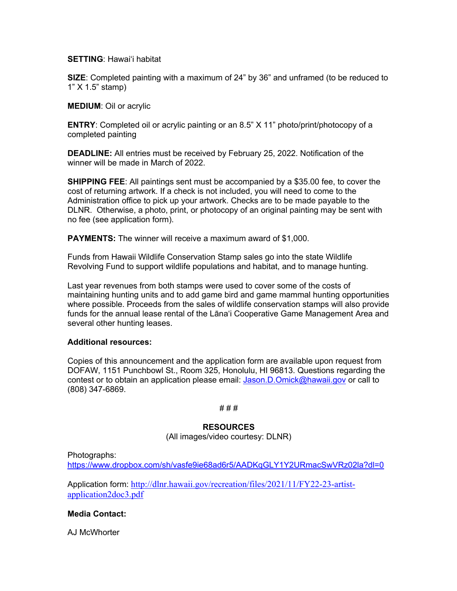#### **SETTING**: Hawai'i habitat

**SIZE**: Completed painting with a maximum of 24" by 36" and unframed (to be reduced to 1" X 1.5" stamp)

#### **MEDIUM**: Oil or acrylic

**ENTRY**: Completed oil or acrylic painting or an 8.5" X 11" photo/print/photocopy of a completed painting

**DEADLINE:** All entries must be received by February 25, 2022. Notification of the winner will be made in March of 2022.

**SHIPPING FEE**: All paintings sent must be accompanied by a \$35.00 fee, to cover the cost of returning artwork. If a check is not included, you will need to come to the Administration office to pick up your artwork. Checks are to be made payable to the DLNR. Otherwise, a photo, print, or photocopy of an original painting may be sent with no fee (see application form).

**PAYMENTS:** The winner will receive a maximum award of \$1,000.

Funds from Hawaii Wildlife Conservation Stamp sales go into the state Wildlife Revolving Fund to support wildlife populations and habitat, and to manage hunting.

Last year revenues from both stamps were used to cover some of the costs of maintaining hunting units and to add game bird and game mammal hunting opportunities where possible. Proceeds from the sales of wildlife conservation stamps will also provide funds for the annual lease rental of the Lānaʻi Cooperative Game Management Area and several other hunting leases.

### **Additional resources:**

Copies of this announcement and the application form are available upon request from DOFAW, 1151 Punchbowl St., Room 325, Honolulu, HI 96813. Questions regarding the contest or to obtain an application please email: Jason.D.Omick@hawaii.gov or call to (808) 347-6869.

# # #

### **RESOURCES**

(All images/video courtesy: DLNR)

Photographs: https://www.dropbox.com/sh/vasfe9ie68ad6r5/AADKqGLY1Y2URmacSwVRz02la?dl=0

Application form: http://dlnr.hawaii.gov/recreation/files/2021/11/FY22-23-artistapplication2doc3.pdf

# **Media Contact:**

AJ McWhorter